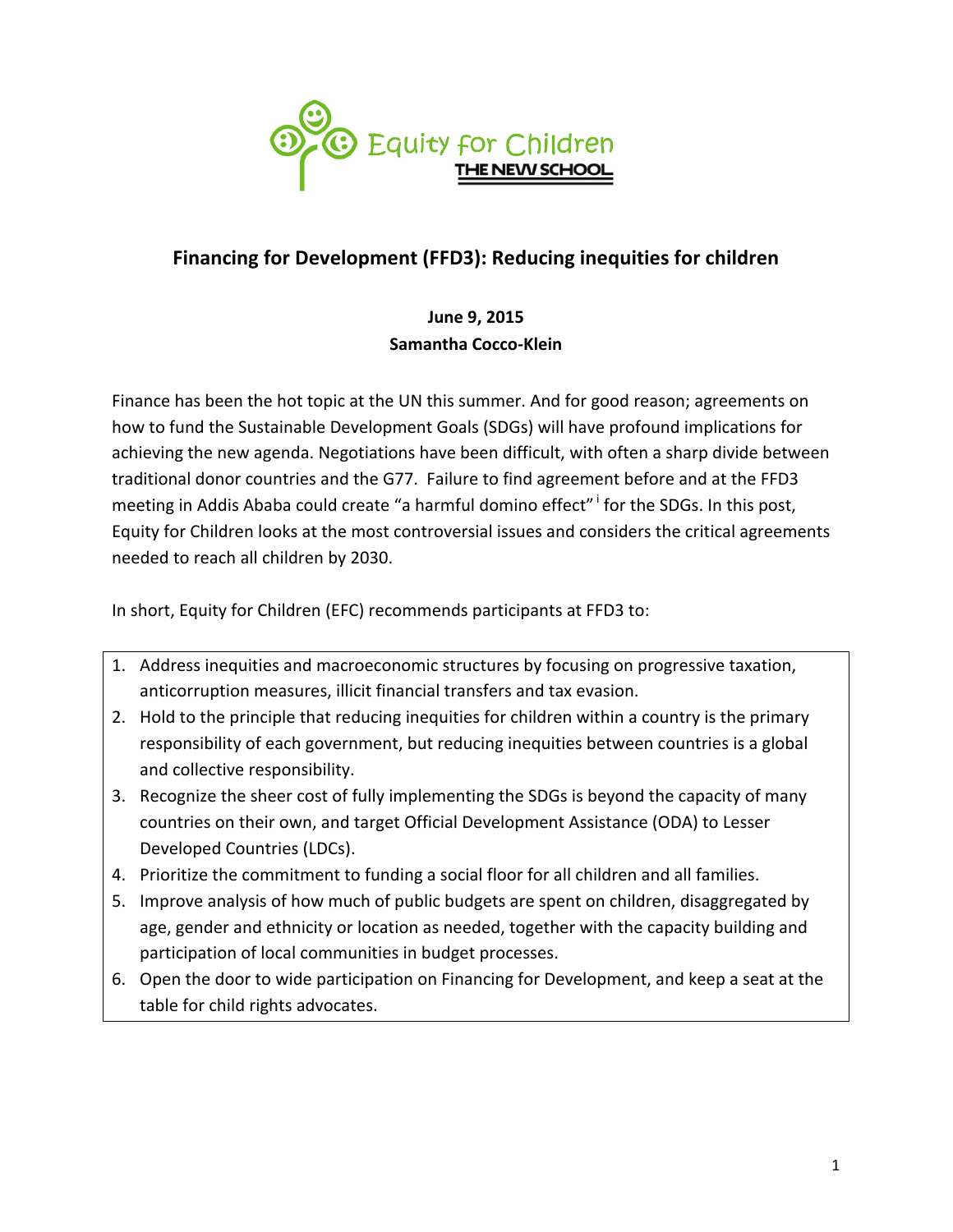

## **Financing for Development (FFD3): Reducing inequities for children**

## **June 9, 2015 Samantha Cocco-Klein**

Finance has been the hot topic at the UN this summer. And for good reason; agreements on how to fund the Sustainable Development Goals (SDGs) will have profound implications for achieving the new agenda. Negotiations have been difficult, with often a sharp divide between traditional donor countries and the G77. Failure to find agreement before and at the FFD3 meeting in Addis Ababa could create "a harmful domino effect" for the SDGs. In this post, Equity for Children looks at the most controversial issues and considers the critical agreements needed to reach all children by 2030.

In short, Equity for Children (EFC) recommends participants at FFD3 to:

- 1. Address inequities and macroeconomic structures by focusing on progressive taxation, anticorruption measures, illicit financial transfers and tax evasion.
- 2. Hold to the principle that reducing inequities for children within a country is the primary responsibility of each government, but reducing inequities between countries is a global and collective responsibility.
- 3. Recognize the sheer cost of fully implementing the SDGs is beyond the capacity of many countries on their own, and target Official Development Assistance (ODA) to Lesser Developed Countries (LDCs).
- 4. Prioritize the commitment to funding a social floor for all children and all families.
- 5. Improve analysis of how much of public budgets are spent on children, disaggregated by age, gender and ethnicity or location as needed, together with the capacity building and participation of local communities in budget processes.
- 6. Open the door to wide participation on Financing for Development, and keep a seat at the table for child rights advocates.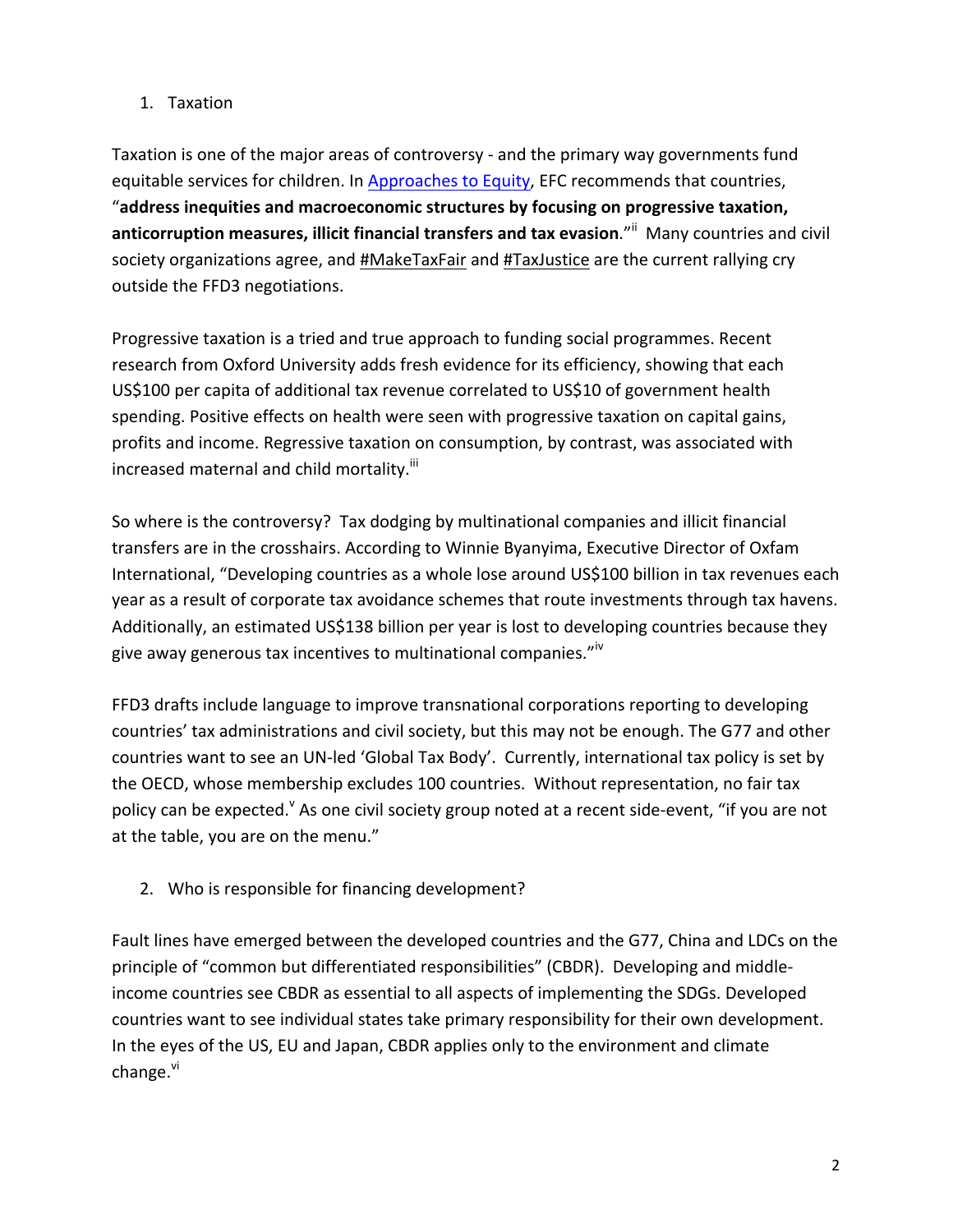## 1. Taxation

Taxation is one of the major areas of controversy - and the primary way governments fund equitable services for children. In Approaches to Equity, EFC recommends that countries, "address inequities and macroeconomic structures by focusing on progressive taxation, anticorruption measures, illicit financial transfers and tax evasion."<sup>ii</sup> Many countries and civil society organizations agree, and #MakeTaxFair and #TaxJustice are the current rallying cry outside the FFD3 negotiations.

Progressive taxation is a tried and true approach to funding social programmes. Recent research from Oxford University adds fresh evidence for its efficiency, showing that each US\$100 per capita of additional tax revenue correlated to US\$10 of government health spending. Positive effects on health were seen with progressive taxation on capital gains, profits and income. Regressive taxation on consumption, by contrast, was associated with increased maternal and child mortality.<sup>iii</sup>

So where is the controversy? Tax dodging by multinational companies and illicit financial transfers are in the crosshairs. According to Winnie Byanyima, Executive Director of Oxfam International, "Developing countries as a whole lose around US\$100 billion in tax revenues each year as a result of corporate tax avoidance schemes that route investments through tax havens. Additionally, an estimated US\$138 billion per year is lost to developing countries because they give away generous tax incentives to multinational companies."<sup>iv</sup>

FFD3 drafts include language to improve transnational corporations reporting to developing countries' tax administrations and civil society, but this may not be enough. The G77 and other countries want to see an UN-led 'Global Tax Body'. Currently, international tax policy is set by the OECD, whose membership excludes 100 countries. Without representation, no fair tax policy can be expected.<sup>v</sup> As one civil society group noted at a recent side-event, "if you are not at the table, you are on the menu."

2. Who is responsible for financing development?

Fault lines have emerged between the developed countries and the G77, China and LDCs on the principle of "common but differentiated responsibilities" (CBDR). Developing and middleincome countries see CBDR as essential to all aspects of implementing the SDGs. Developed countries want to see individual states take primary responsibility for their own development. In the eyes of the US, EU and Japan, CBDR applies only to the environment and climate change.<sup>vi</sup>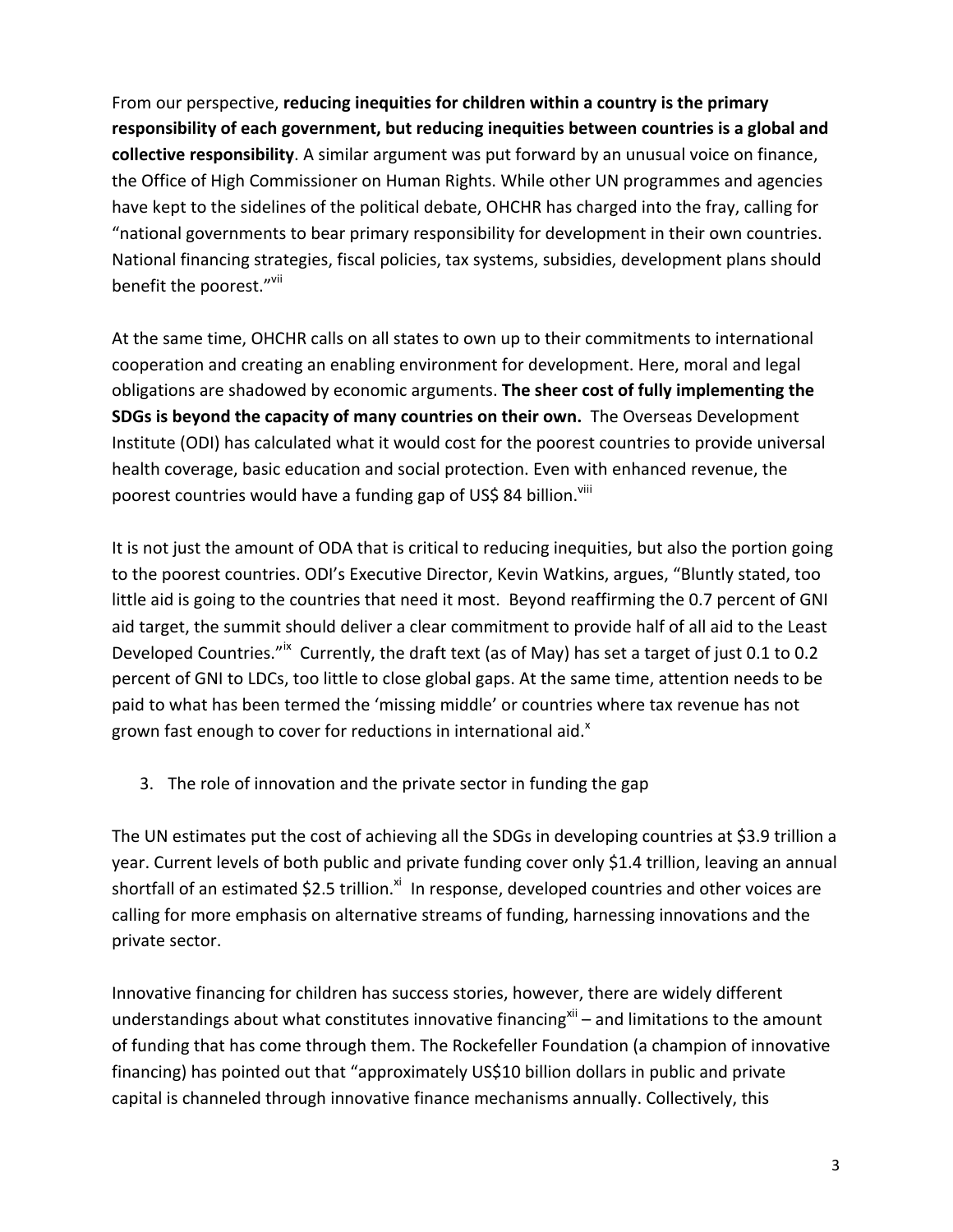From our perspective, reducing inequities for children within a country is the primary responsibility of each government, but reducing inequities between countries is a global and **collective responsibility**. A similar argument was put forward by an unusual voice on finance, the Office of High Commissioner on Human Rights. While other UN programmes and agencies have kept to the sidelines of the political debate, OHCHR has charged into the fray, calling for "national governments to bear primary responsibility for development in their own countries. National financing strategies, fiscal policies, tax systems, subsidies, development plans should benefit the poorest."Vill

At the same time, OHCHR calls on all states to own up to their commitments to international cooperation and creating an enabling environment for development. Here, moral and legal obligations are shadowed by economic arguments. The sheer cost of fully implementing the **SDGs is beyond the capacity of many countries on their own.** The Overseas Development Institute (ODI) has calculated what it would cost for the poorest countries to provide universal health coverage, basic education and social protection. Even with enhanced revenue, the poorest countries would have a funding gap of US\$ 84 billion. Vill

It is not just the amount of ODA that is critical to reducing inequities, but also the portion going to the poorest countries. ODI's Executive Director, Kevin Watkins, argues, "Bluntly stated, too little aid is going to the countries that need it most. Beyond reaffirming the 0.7 percent of GNI aid target, the summit should deliver a clear commitment to provide half of all aid to the Least Developed Countries."ix Currently, the draft text (as of May) has set a target of just 0.1 to 0.2 percent of GNI to LDCs, too little to close global gaps. At the same time, attention needs to be paid to what has been termed the 'missing middle' or countries where tax revenue has not grown fast enough to cover for reductions in international aid. $^x$ 

3. The role of innovation and the private sector in funding the gap

The UN estimates put the cost of achieving all the SDGs in developing countries at \$3.9 trillion a year. Current levels of both public and private funding cover only \$1.4 trillion, leaving an annual shortfall of an estimated \$2.5 trillion.<sup>xi</sup> In response, developed countries and other voices are calling for more emphasis on alternative streams of funding, harnessing innovations and the private sector.

Innovative financing for children has success stories, however, there are widely different understandings about what constitutes innovative financing<sup>xii</sup> – and limitations to the amount of funding that has come through them. The Rockefeller Foundation (a champion of innovative financing) has pointed out that "approximately US\$10 billion dollars in public and private capital is channeled through innovative finance mechanisms annually. Collectively, this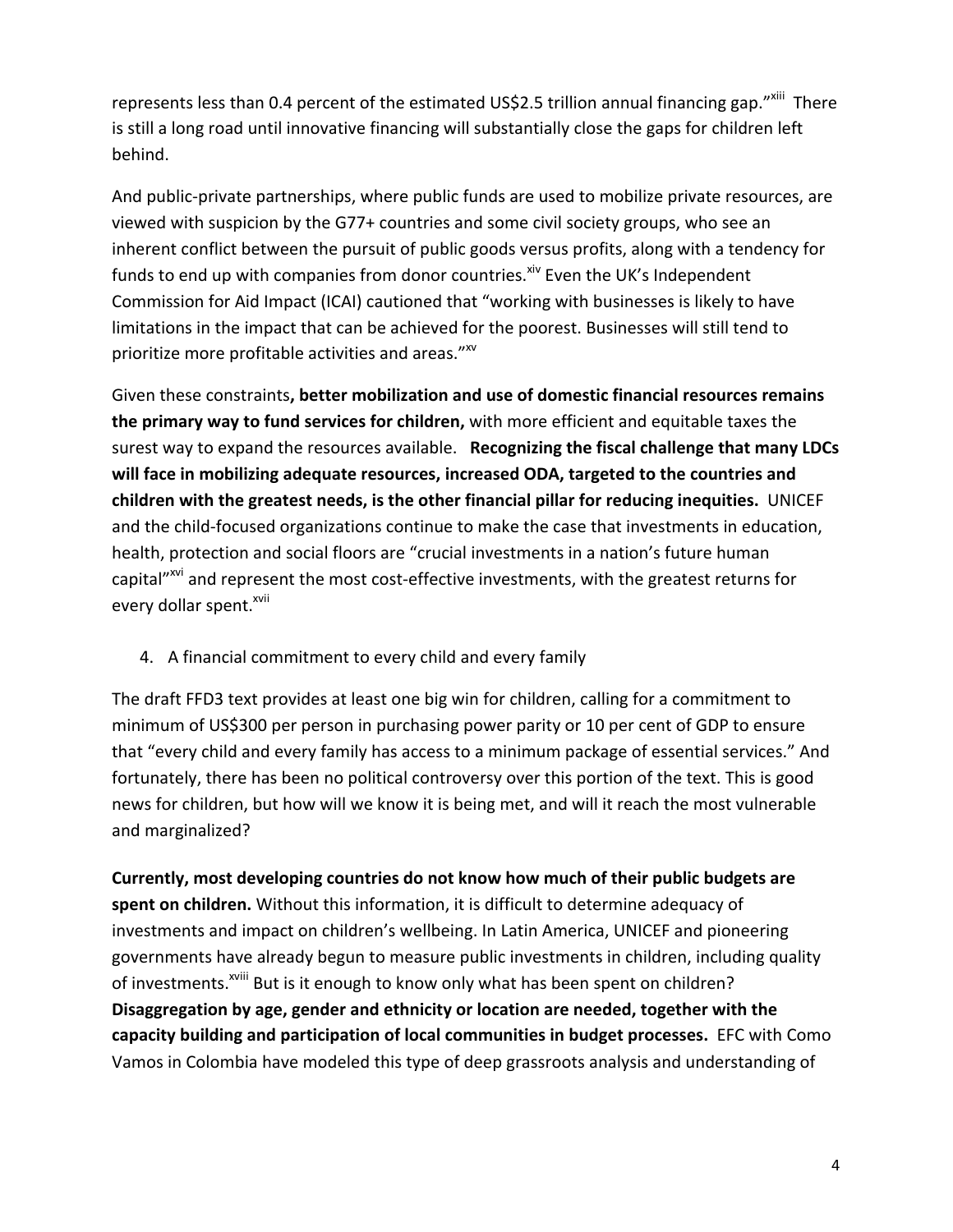represents less than 0.4 percent of the estimated US\$2.5 trillion annual financing gap."<sup>xiii</sup> There is still a long road until innovative financing will substantially close the gaps for children left behind.

And public-private partnerships, where public funds are used to mobilize private resources, are viewed with suspicion by the G77+ countries and some civil society groups, who see an inherent conflict between the pursuit of public goods versus profits, along with a tendency for funds to end up with companies from donor countries.<sup>xiv</sup> Even the UK's Independent Commission for Aid Impact (ICAI) cautioned that "working with businesses is likely to have limitations in the impact that can be achieved for the poorest. Businesses will still tend to prioritize more profitable activities and areas."XV

Given these constraints, better mobilization and use of domestic financial resources remains **the primary way to fund services for children,** with more efficient and equitable taxes the surest way to expand the resources available. **Recognizing the fiscal challenge that many LDCs** will face in mobilizing adequate resources, increased ODA, targeted to the countries and **children with the greatest needs, is the other financial pillar for reducing inequities. UNICEF** and the child-focused organizations continue to make the case that investments in education, health, protection and social floors are "crucial investments in a nation's future human capital"<sup>xvi</sup> and represent the most cost-effective investments, with the greatest returns for every dollar spent.<sup>xvii</sup>

4. A financial commitment to every child and every family

The draft FFD3 text provides at least one big win for children, calling for a commitment to minimum of US\$300 per person in purchasing power parity or 10 per cent of GDP to ensure that "every child and every family has access to a minimum package of essential services." And fortunately, there has been no political controversy over this portion of the text. This is good news for children, but how will we know it is being met, and will it reach the most vulnerable and marginalized?

Currently, most developing countries do not know how much of their public budgets are spent on children. Without this information, it is difficult to determine adequacy of investments and impact on children's wellbeing. In Latin America, UNICEF and pioneering governments have already begun to measure public investments in children, including quality of investments.<sup>xviii</sup> But is it enough to know only what has been spent on children? **Disaggregation by age, gender and ethnicity or location are needed, together with the capacity building and participation of local communities in budget processes.** EFC with Como Vamos in Colombia have modeled this type of deep grassroots analysis and understanding of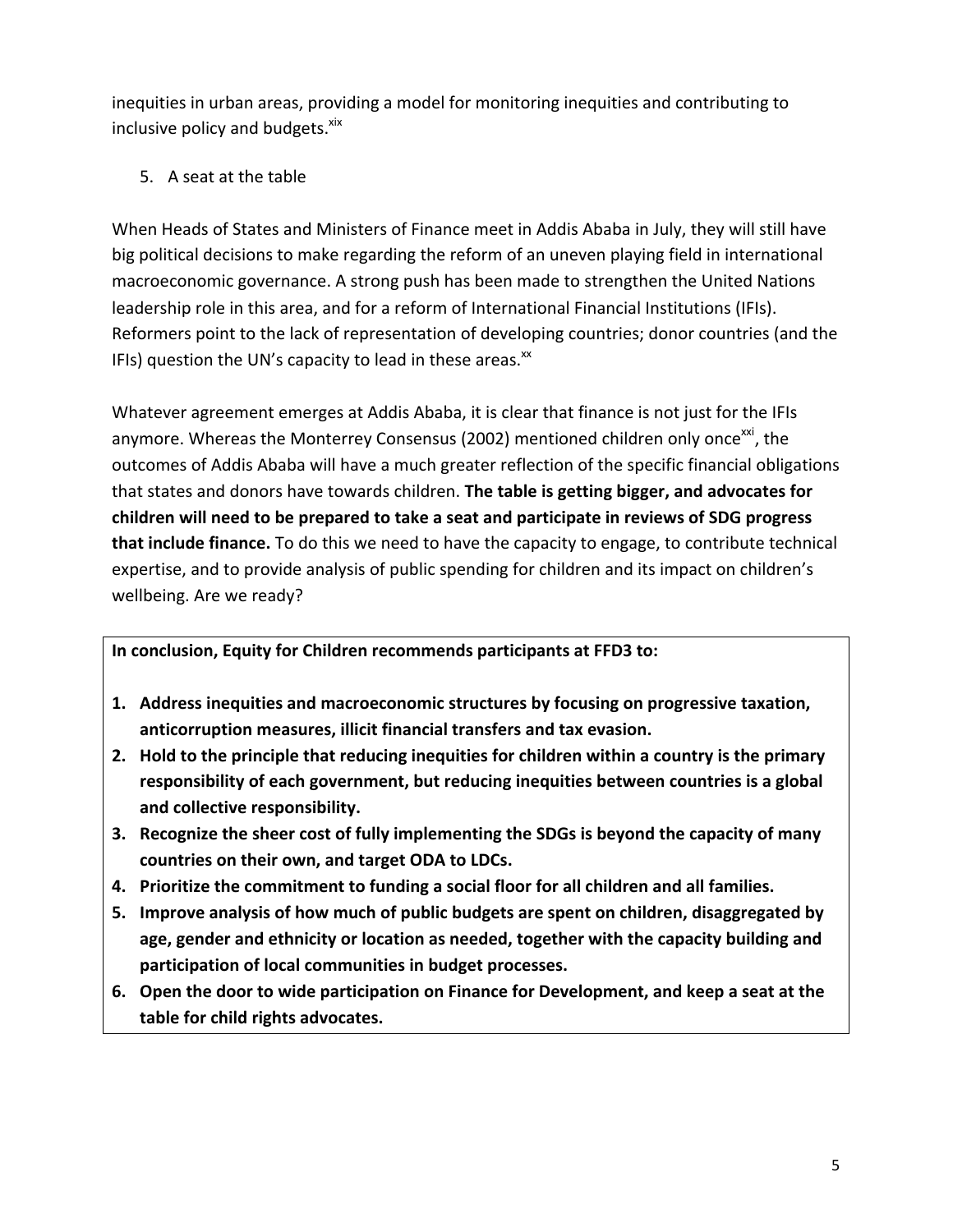inequities in urban areas, providing a model for monitoring inequities and contributing to inclusive policy and budgets.<sup>xix</sup>

5. A seat at the table

When Heads of States and Ministers of Finance meet in Addis Ababa in July, they will still have big political decisions to make regarding the reform of an uneven playing field in international macroeconomic governance. A strong push has been made to strengthen the United Nations leadership role in this area, and for a reform of International Financial Institutions (IFIs). Reformers point to the lack of representation of developing countries; donor countries (and the IFIs) question the UN's capacity to lead in these areas. $x^2$ 

Whatever agreement emerges at Addis Ababa, it is clear that finance is not just for the IFIs anymore. Whereas the Monterrey Consensus (2002) mentioned children only once<sup>xxi</sup>, the outcomes of Addis Ababa will have a much greater reflection of the specific financial obligations that states and donors have towards children. **The table is getting bigger, and advocates for** children will need to be prepared to take a seat and participate in reviews of SDG progress that include finance. To do this we need to have the capacity to engage, to contribute technical expertise, and to provide analysis of public spending for children and its impact on children's wellbeing. Are we ready?

## In conclusion, Equity for Children recommends participants at FFD3 to:

- **1.** Address inequities and macroeconomic structures by focusing on progressive taxation, anticorruption measures, illicit financial transfers and tax evasion.
- **2.** Hold to the principle that reducing inequities for children within a country is the primary responsibility of each government, but reducing inequities between countries is a global and collective responsibility.
- 3. Recognize the sheer cost of fully implementing the SDGs is beyond the capacity of many countries on their own, and target ODA to LDCs.
- **4.** Prioritize the commitment to funding a social floor for all children and all families.
- **5.** Improve analysis of how much of public budgets are spent on children, disaggregated by age, gender and ethnicity or location as needed, together with the capacity building and participation of local communities in budget processes.
- **6.** Open the door to wide participation on Finance for Development, and keep a seat at the table for child rights advocates.